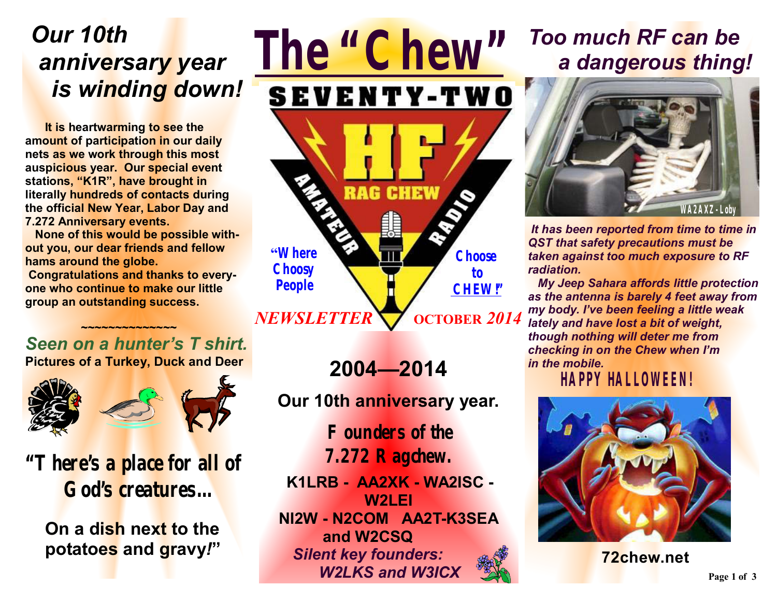# *Our 10th anniversary year is winding down!*

**It is heartwarming to see the amount of participation in our daily nets as we work through this most auspicious year. Our special event stations, "K1R", have brought in literally hundreds of contacts during the official New Year, Labor Day and 7.272 Anniversary events.** 

 **None of this would be possible without you, our dear friends and fellow hams around the globe. Congratulations and thanks to everyone who continue to make our little group an outstanding success.** 

#### *Seen on a hunter's T shirt.*  **Pictures of a Turkey, Duck and Deer**

 **~~~~~~~~~~~~~~** 



**"There's a place for all of God's creatures…** 

 **On a dish next to the potatoes and gravy***!***"** 

## **OCTOBER** *2014 NEWSLETTER*

**Choose to CHEW!"**

**"Where Choosy People** 

*The "Chew"*

RAG

**SEVENTY-TWO** 

**CHEW** 

**Our 10th anniversary year.** 

**2004—2014** 

**Founders of the 7.272 Ragchew.**

**K1LRB - AA2XK - WA2ISC - W2LEI NI2W - N2COM AA2T-K3SEA and W2CSQ**  *Silent key founders: W2LKS and W3ICX*

# *Too much RF can be a dangerous thing!*



*It has been reported from time to time in QST that safety precautions must be taken against too much exposure to RF radiation.* 

 *My Jeep Sahara affords little protection as the antenna is barely 4 feet away from my body. I've been feeling a little weak lately and have lost a bit of weight, though nothing will deter me from checking in on the Chew when I'm in the mobile.* 

 *HAPPY HALLOWEEN!* 



**72chew.net**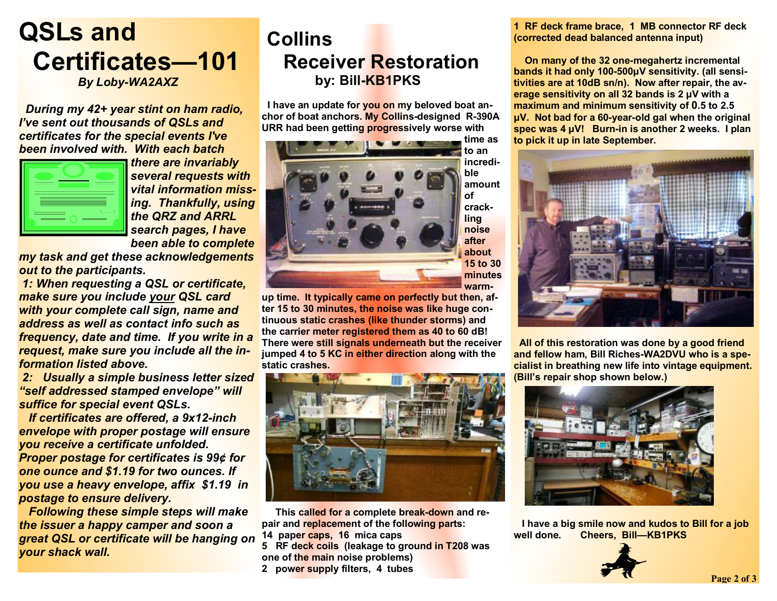## **QSLs and Certificates—101**   *By Loby-WA2AXZ*

 *During my 42+ year stint on ham radio, I've sent out thousands of QSLs and certificates for the special events I've been involved with. With each batch* 

*there are invariably several requests with vital information missing. Thankfully, using the QRZ and ARRL search pages, I have been able to complete* 

*my task and get these acknowledgements out to the participants.* 

*1: When requesting a QSL or certificate, make sure you include your QSL card with your complete call sign, name and address as well as contact info such as frequency, date and time. If you write in a request, make sure you include all the information listed above.* 

*2: Usually a simple business letter sized "self addressed stamped envelope" will suffice for special event QSLs.*

 *If certificates are offered, a 9x12-inch envelope with proper postage will ensure you receive a certificate unfolded. Proper postage for certificates is 99¢ for one ounce and \$1.19 for two ounces. If you use a heavy envelope, affix \$1.19 in postage to ensure delivery.* 

 *Following these simple steps will make the issuer a happy camper and soon a great QSL or certificate will be hanging on your shack wall.* 

### **Collins Receiver Restoration by: Bill-KB1PKS**

 **I have an update for you on my beloved boat anchor of boat anchors. My Collins-designed R-390A URR had been getting progressively worse with** 



**up time. It typically came on perfectly but then, after 15 to 30 minutes, the noise was like huge continuous static crashes (like thunder storms) and the carrier meter registered them as 40 to 60 dB! There were still signals underneath but the receiver jumped 4 to 5 KC in either direction along with the static crashes.** 



 **This called for a complete break-down and repair and replacement of the following parts: 14 paper caps, 16 mica caps** 

**5 RF deck coils (leakage to ground in T208 was one of the main noise problems)** 

**2 power supply filters, 4 tubes**

**1 RF deck frame brace, 1 MB connector RF deck (corrected dead balanced antenna input)** 

 **On many of the 32 one-megahertz incremental bands it had only 100-500µV sensitivity. (all sensitivities are at 10dB sn/n). Now after repair, the average sensitivity on all 32 bands is 2 µV with a maximum and minimum sensitivity of 0.5 to 2.5 µV. Not bad for a 60-year-old gal when the original spec was 4 µV! Burn-in is another 2 weeks. I plan to pick it up in late September.** 



 **All of this restoration was done by a good friend and fellow ham, Bill Riches-WA2DVU who is a specialist in breathing new life into vintage equipment. (Bill's repair shop shown below.)** 



 **I have a big smile now and kudos to Bill for a job well done. Cheers, Bill—KB1PKS**